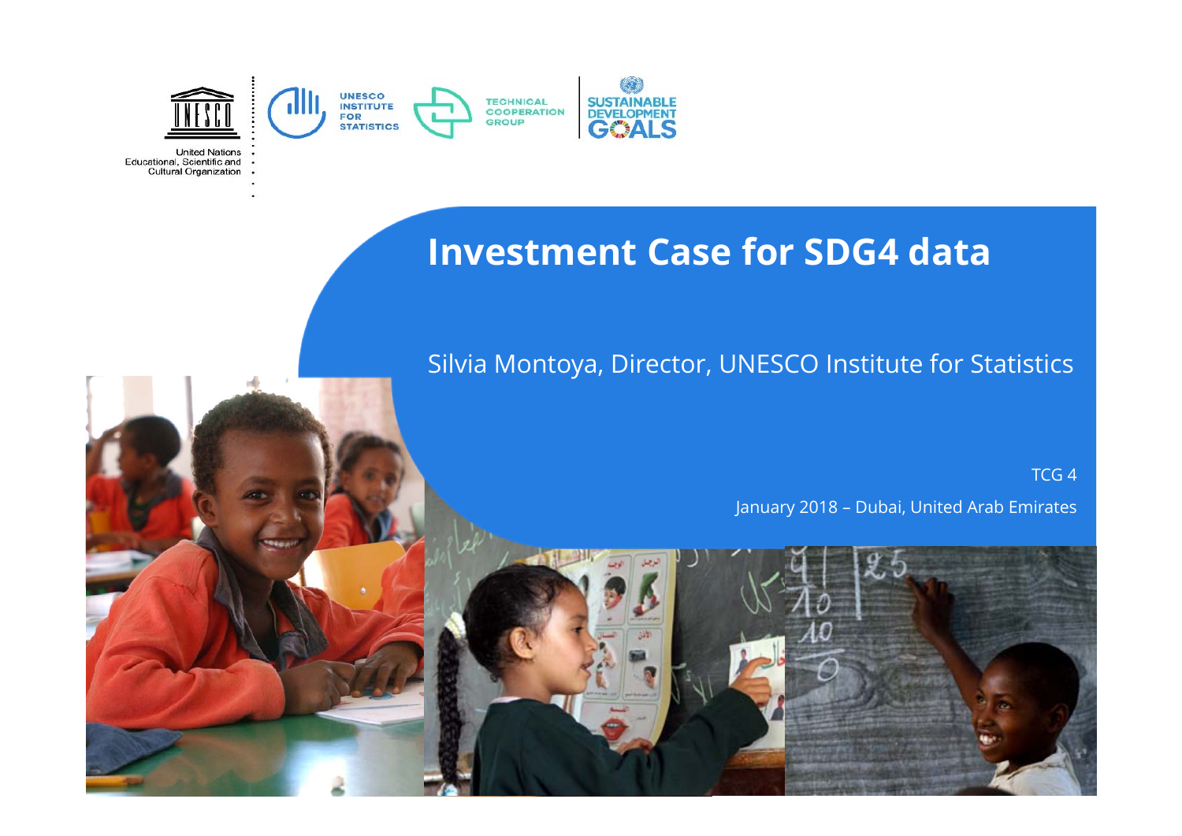

**United Nations** Educational, Scientific and . Cultural Organization

#### **Investment Case for SDG4 data**

#### Silvia Montoya, Director, UNESCO Institute for Statistics

TCG 4

January 2018 – Dubai, United Arab Emirates

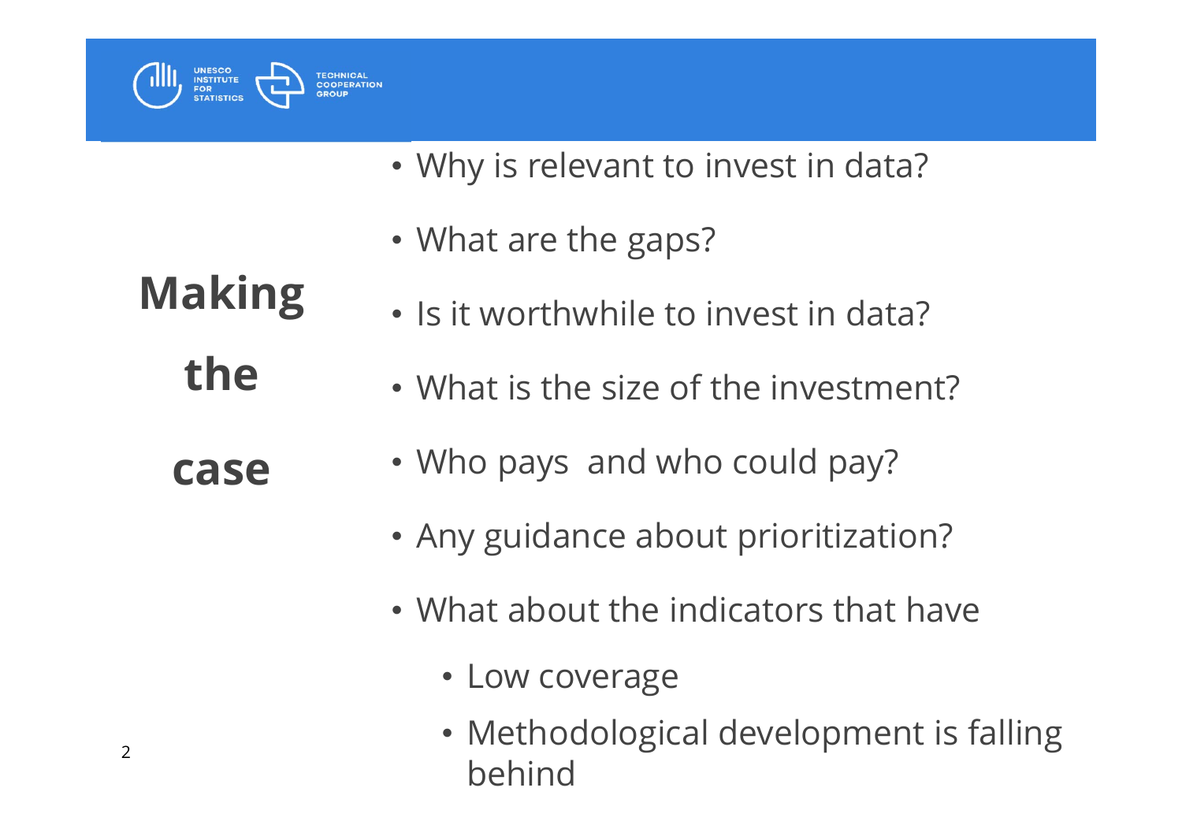

- Why is relevant to invest in data?
- What are the gaps?
- Is it worthwhile to invest in data?
- What is the size of the investment?
- Who pays and who could pay?
- Any guidance about prioritization?
- What about the indicators that have
	- Low coverage
	- Methodological development is falling behind

**Making the** 

**case**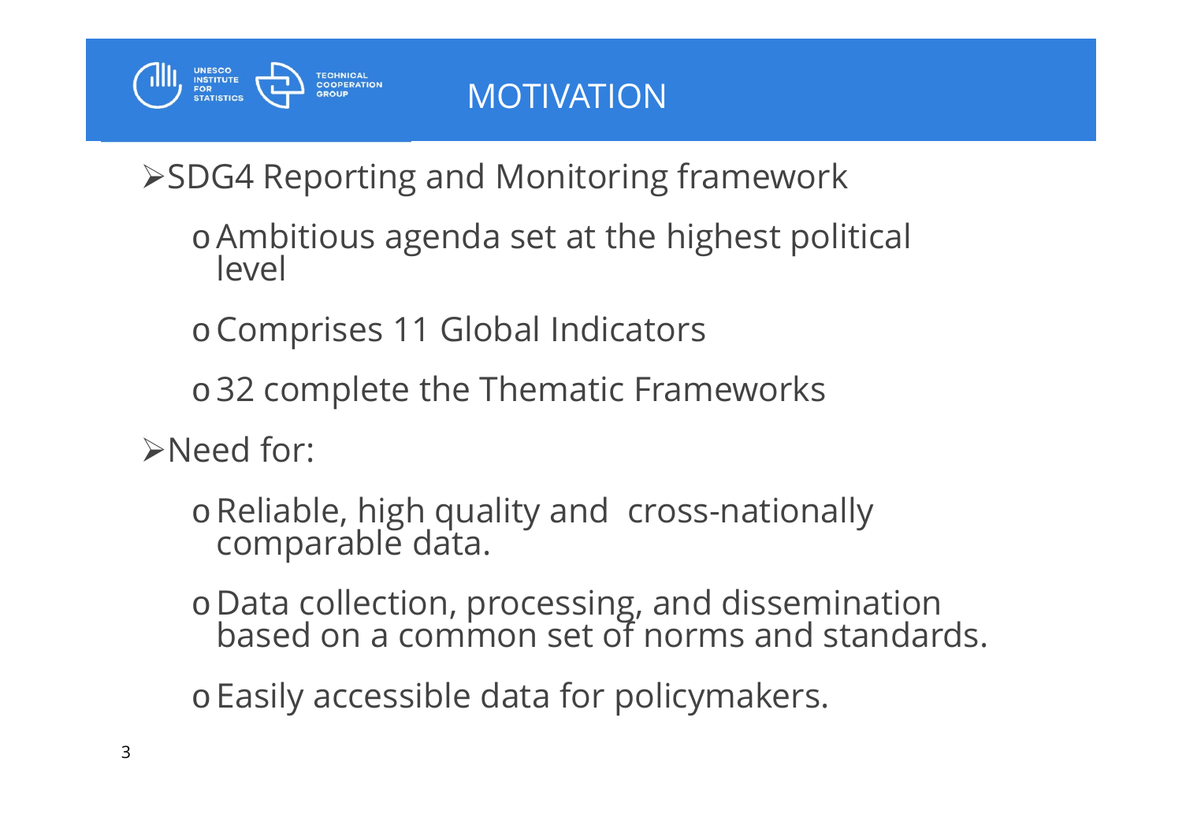

SDG4 Reporting and Monitoring framework

oAmbitious agenda set at the highest political level

<sup>o</sup>Comprises 11 Global Indicators

<sup>o</sup>32 complete the Thematic Frameworks

>Need for:

<sup>o</sup>Reliable, high quality and cross-nationally comparable data.

o Data collection, processing, and dissemination based on a common set of norms and standards.

<sup>o</sup>Easily accessible data for policymakers.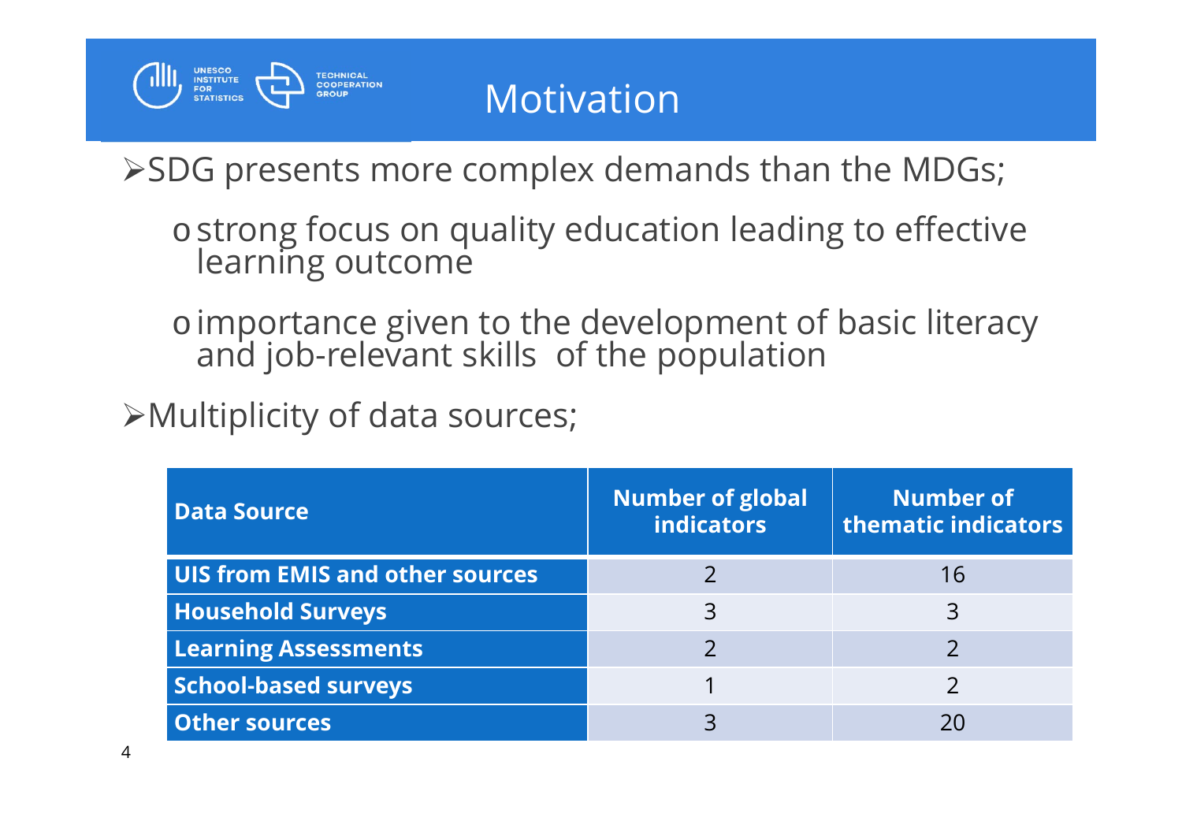

## Motivation

SDG presents more complex demands than the MDGs;

o strong focus on quality education leading to effective learning outcome

o importance given to the development of basic literacy and job-relevant skills of the population

Multiplicity of data sources;

| <b>Data Source</b>                     | <b>Number of global</b><br><b>indicators</b> | <b>Number of</b><br>thematic indicators |
|----------------------------------------|----------------------------------------------|-----------------------------------------|
| <b>UIS from EMIS and other sources</b> |                                              | 16                                      |
| <b>Household Surveys</b>               | 3                                            | 3                                       |
| <b>Learning Assessments</b>            |                                              |                                         |
| <b>School-based surveys</b>            |                                              |                                         |
| <b>Other sources</b>                   |                                              | 20                                      |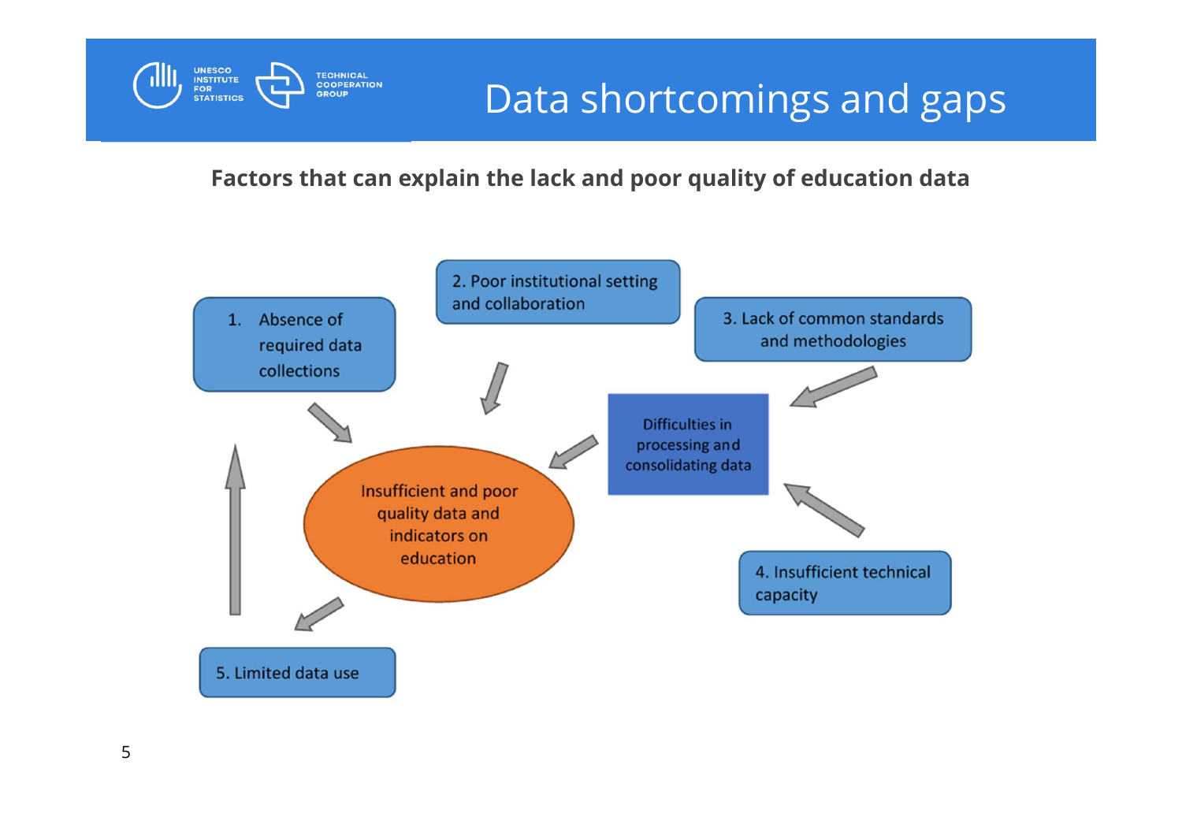

**Factors that can explain the lack and poor quality of education data**



**UNESCO<br>INSTITUTE<br>FOR<br>STATISTICS**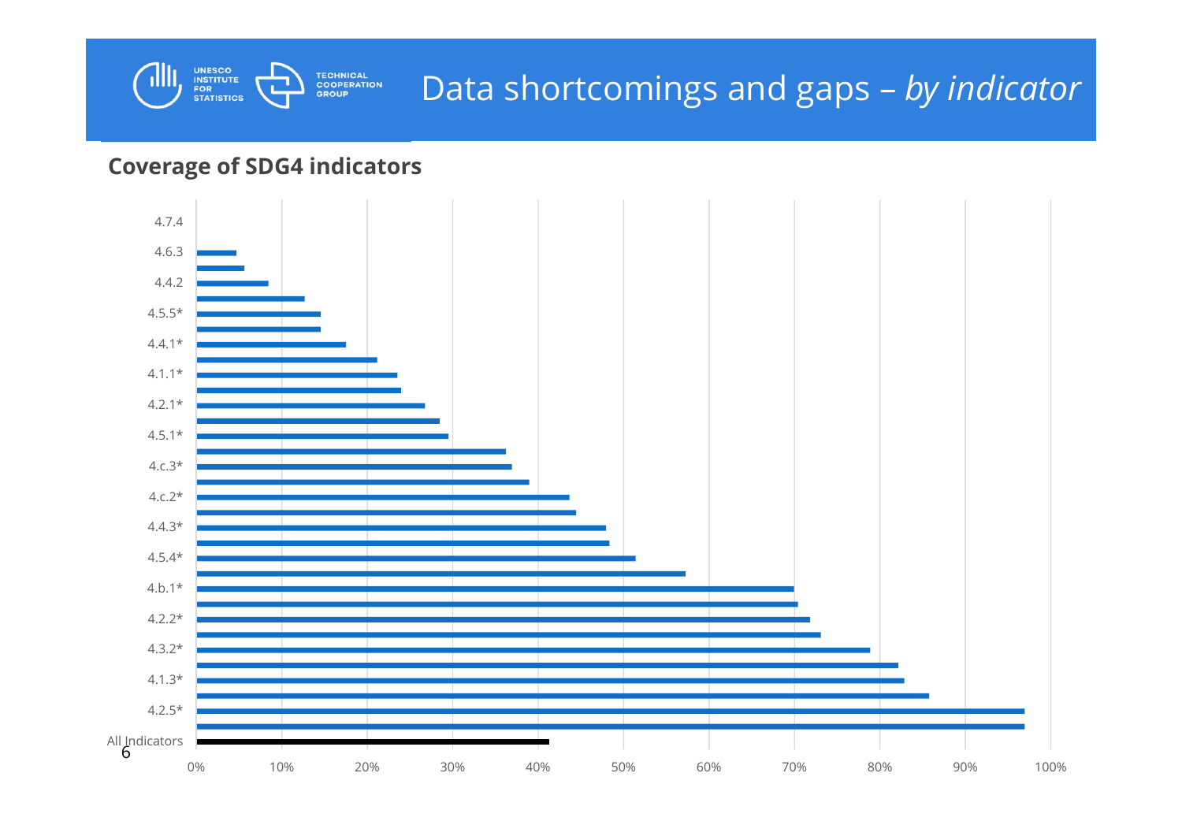

#### **Coverage of SDG4 indicators**

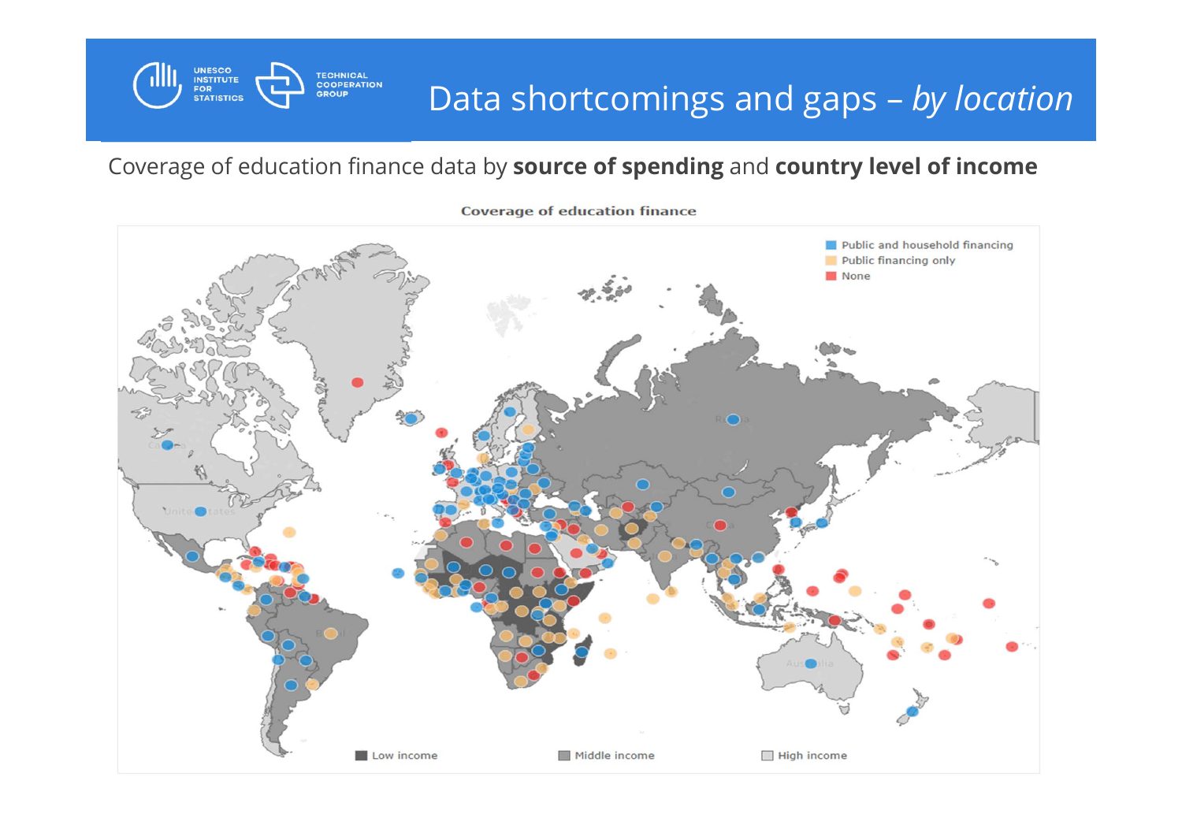#### Data shortcomings and gaps – *by location*

#### Coverage of education finance data by **source of spending** and **country level of income**

**UNESCO<br>INSTITUTE<br>FOR<br>STATISTICS** 



**Coverage of education finance**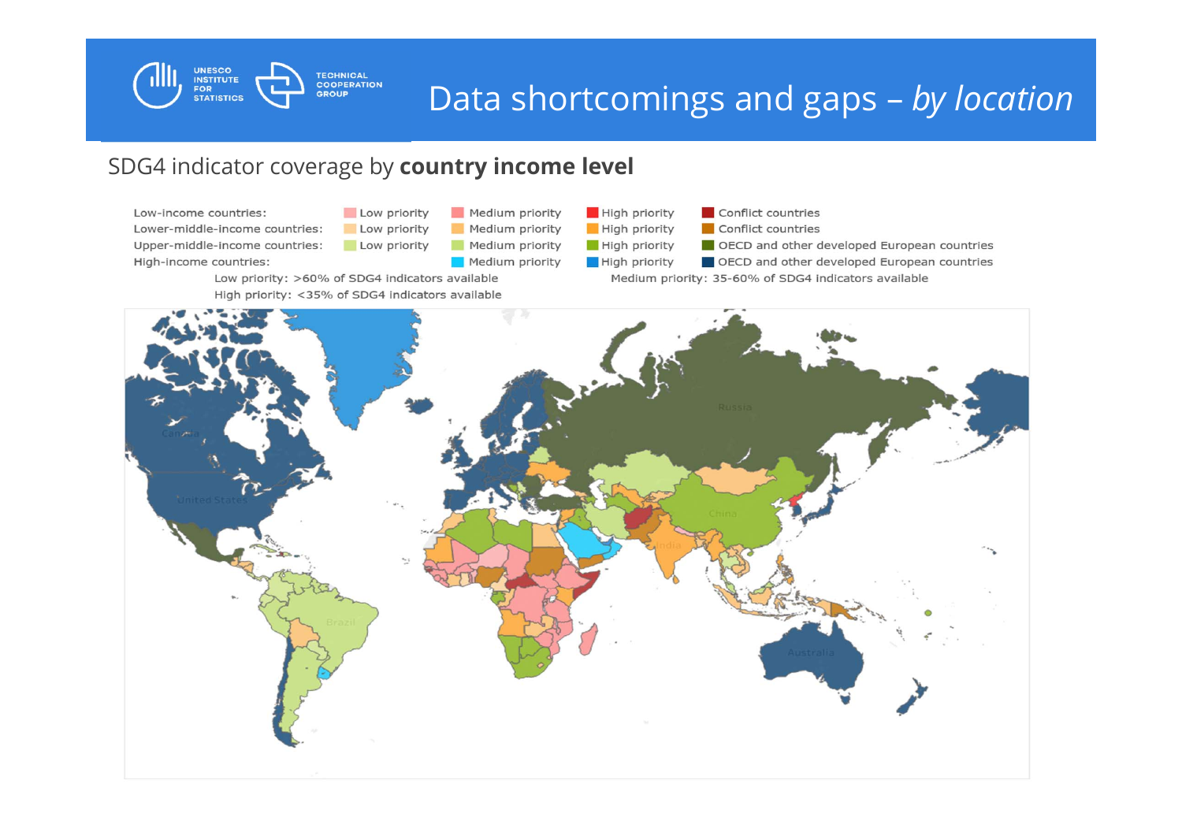

#### Data shortcomings and gaps – *by location*

#### SDG4 indicator coverage by **country income level**

Low-income countries: Lower-middle-income countries: Upper-middle-income countries: High-income countries:

Low priority Medium priority Low priority Medium priority Low priority Medium priority Medium priority

Low priority: >60% of SDG4 indicators available High priority: <35% of SDG4 indicators available **High priority** Conflict countries Conflict countries **High priority** High priority OECD and other developed European countries High priority OECD and other developed European countries Medium priority: 35-60% of SDG4 indicators available

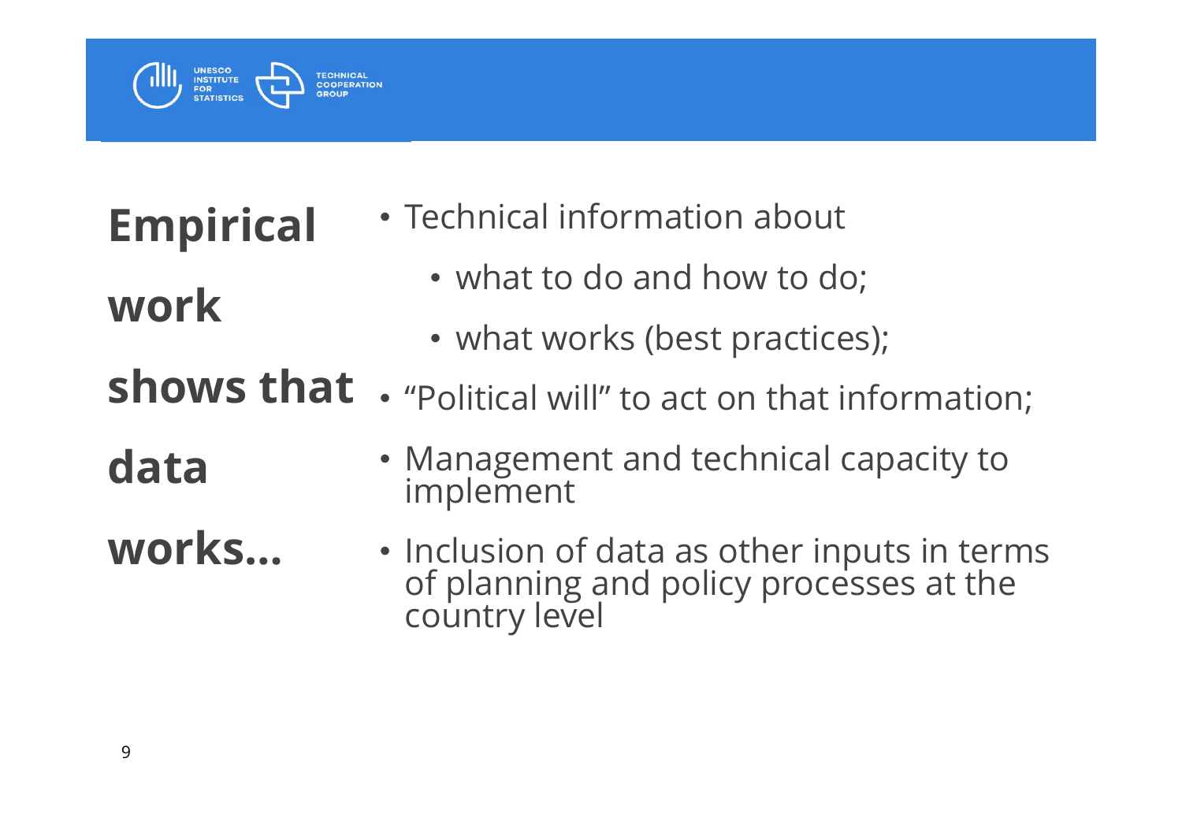

- **Empirical work**
- **shows that** 
	- "Political will" to act on that information;

• Technical information about

• what to do and how to do;

• what works (best practices);

# **data**

- Management and technical capacity to implement
- **works…**• Inclusion of data as other inputs in terms of planning and policy processes at the country level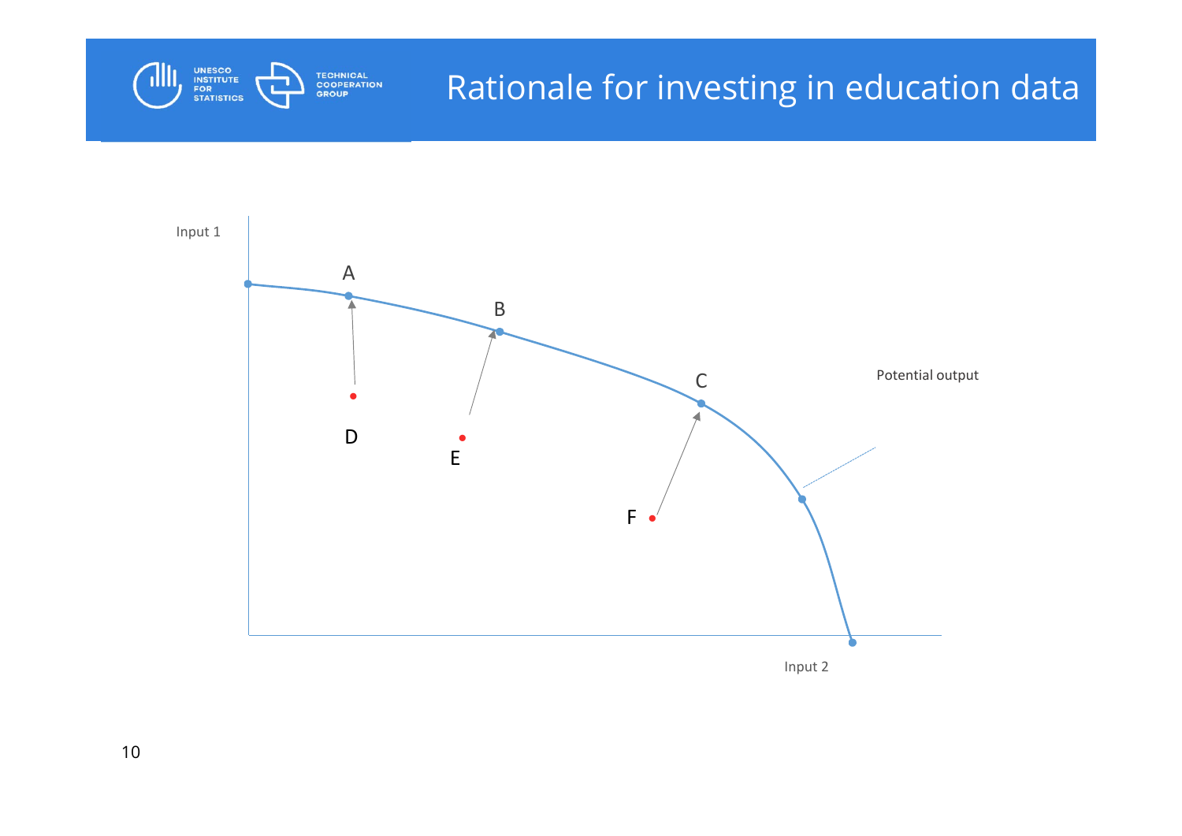

## Rationale for investing in education data



10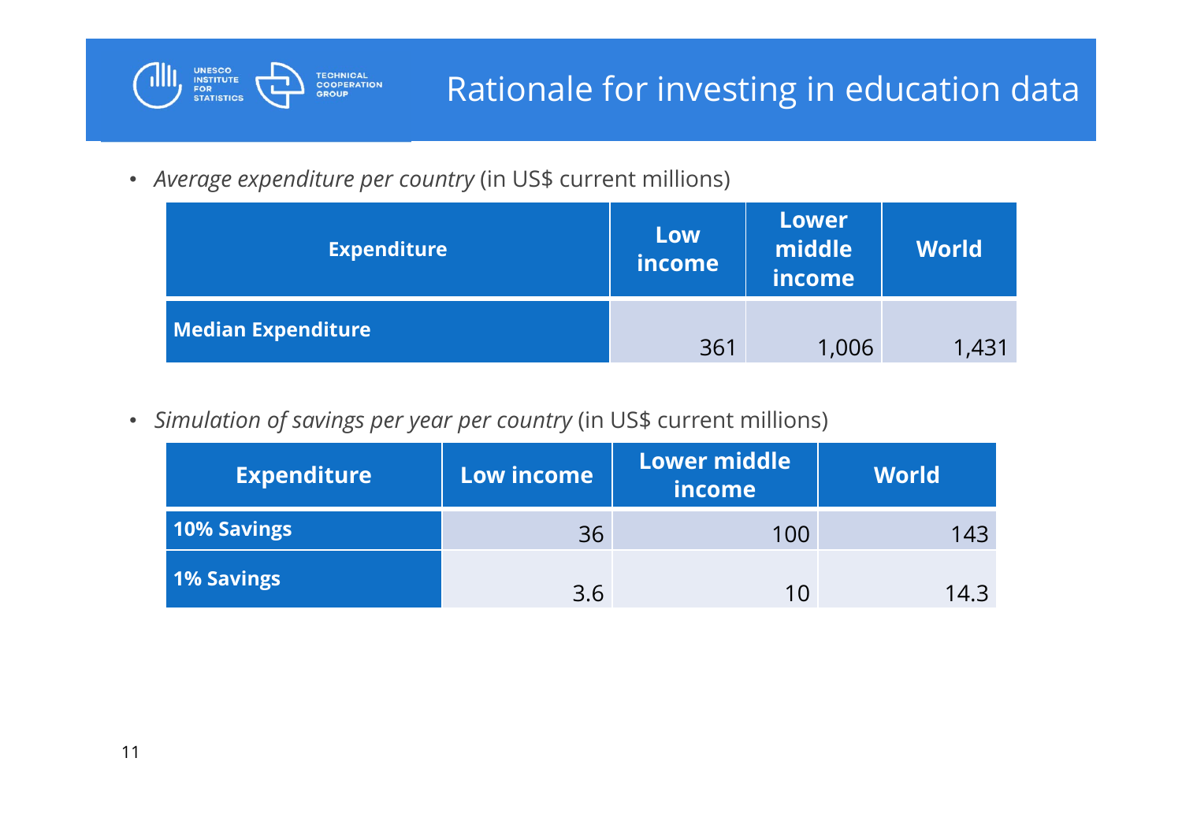

• *Average expenditure per country* (in US\$ current millions)

| <b>Expenditure</b>        | Low<br><i>income</i> | <b>Lower</b><br>middle<br><i>income</i> | <b>World</b> |
|---------------------------|----------------------|-----------------------------------------|--------------|
| <b>Median Expenditure</b> | 361                  | 1,006                                   | 1,431        |

• *Simulation of savings per year per country* (in US\$ current millions)

| <b>Expenditure</b> | Low income | <b>Lower middle</b><br>income | <b>World</b> |
|--------------------|------------|-------------------------------|--------------|
| 10% Savings        | 36         | 100                           | 143          |
| 1% Savings         | 3.6        | 1 በ                           | 14.3         |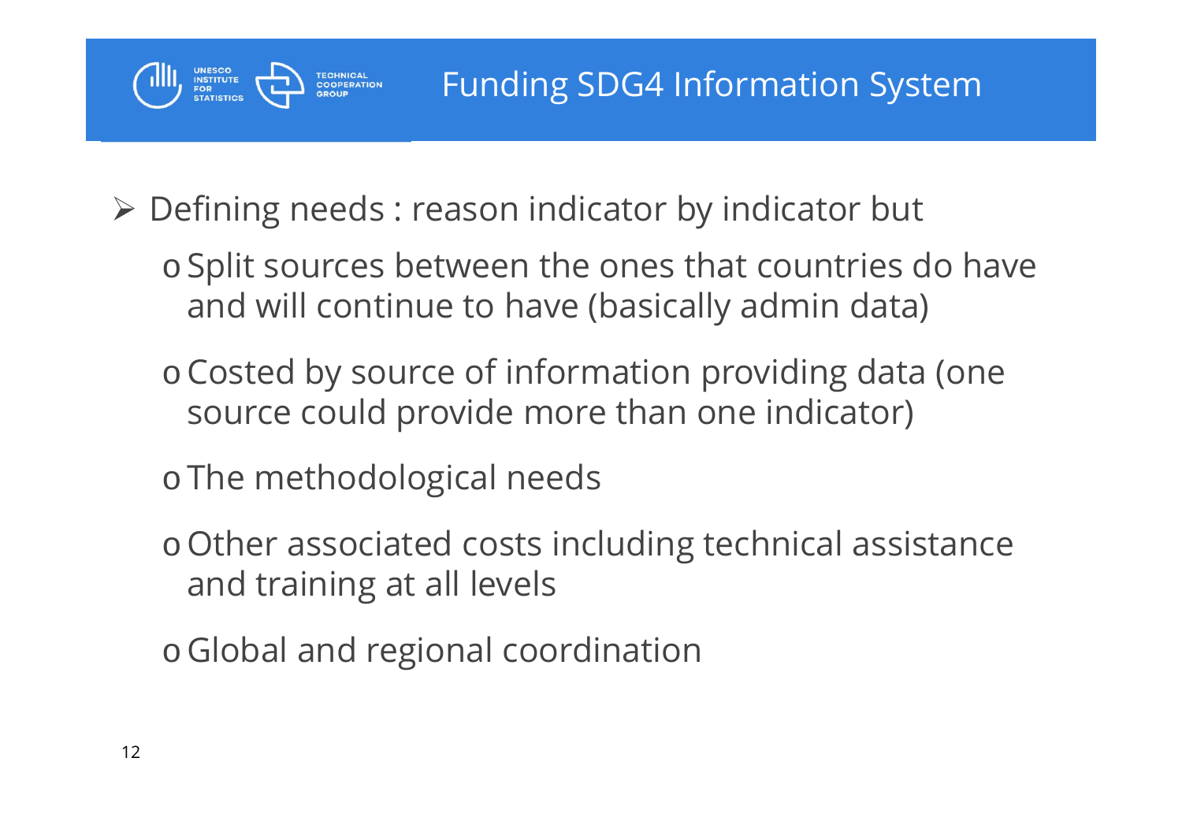### Funding SDG4 Information System

Defining needs : reason indicator by indicator but

- o Split sources between the ones that countries do have and will continue to have (basically admin data)
- <sup>o</sup>Costed by source of information providing data (one source could provide more than one indicator)
- o The methodological needs

- <sup>o</sup>Other associated costs including technical assistance and training at all levels
- o Global and regional coordination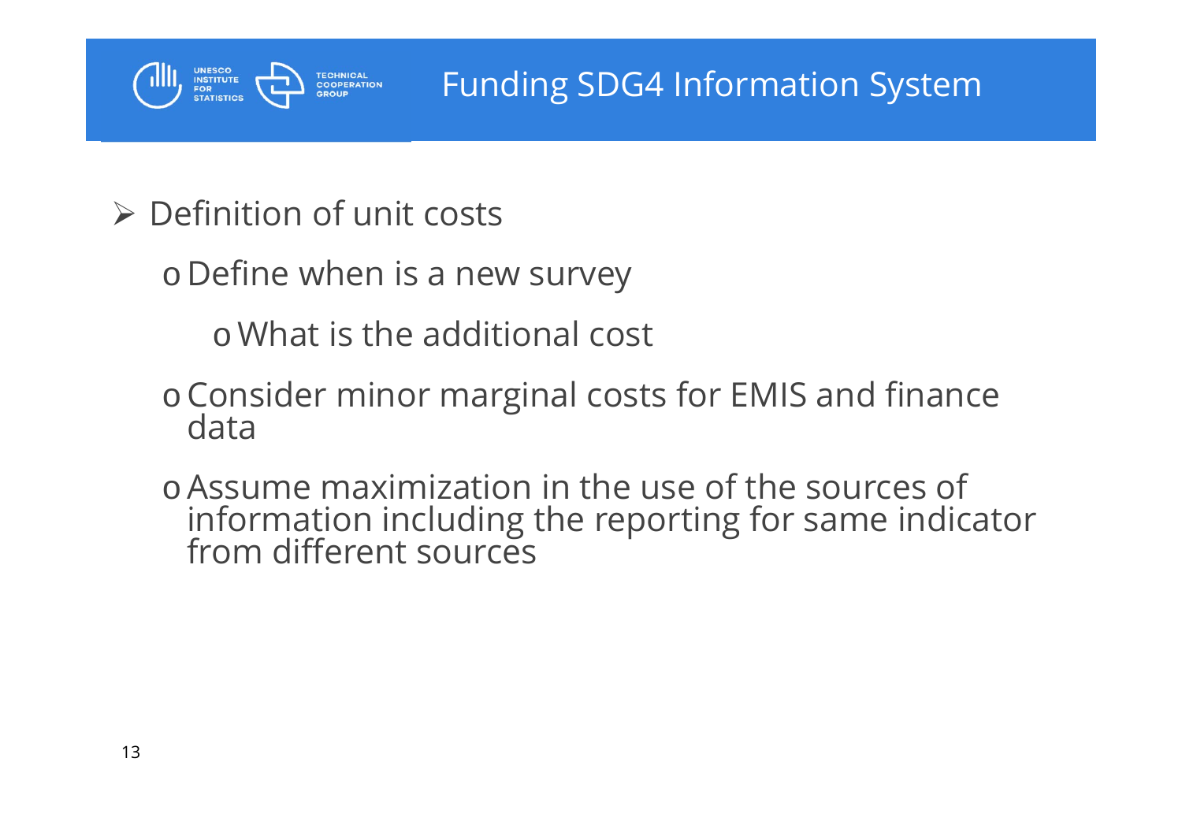

 $\triangleright$  Definition of unit costs

o Define when is a new survey

<sup>o</sup>What is the additional cost

- oConsider minor marginal costs for EMIS and finance data
- <sup>o</sup>Assume maximization in the use of the sources of information including the reporting for same indicator from different sources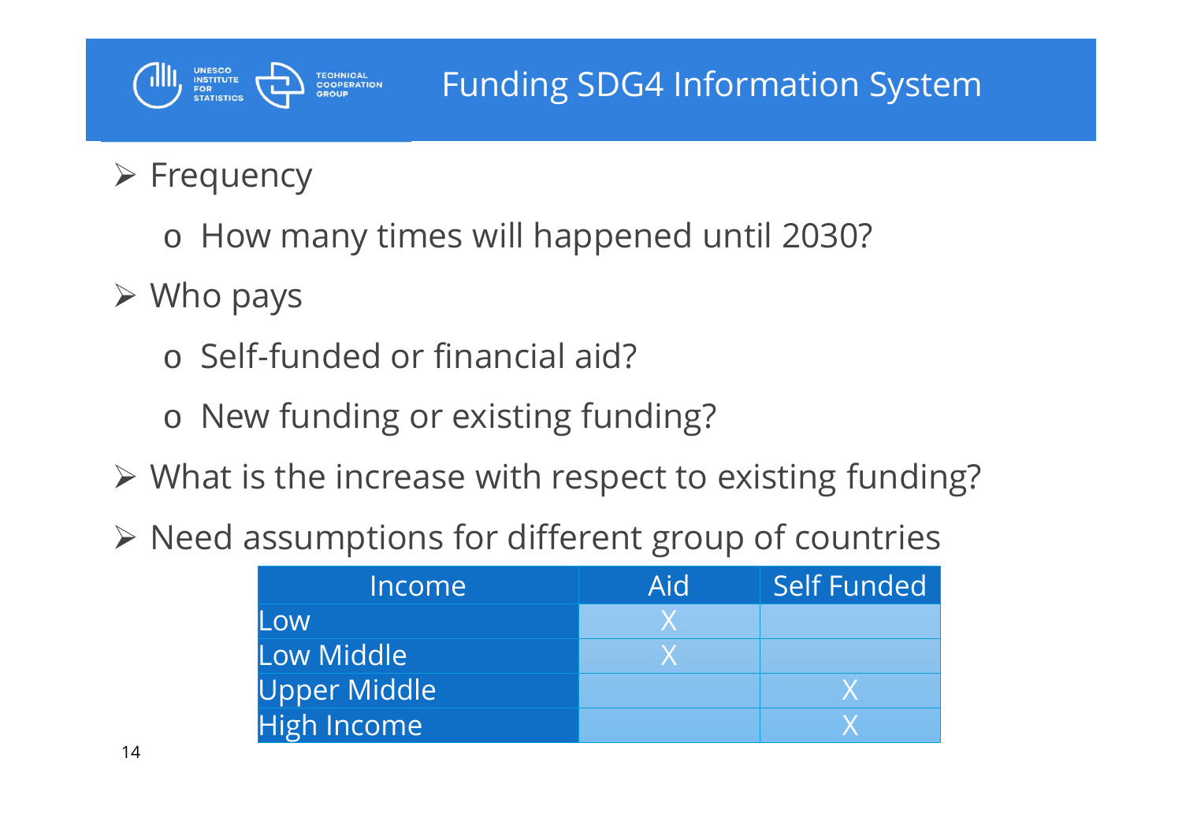### Funding SDG4 Information System

## $\triangleright$  Frequency

**UNESCO<br>INSTITUTE<br>FOR<br>STATISTICS** 

o How many times will happened until 2030?

 $\triangleright$  Who pays

o Self-funded or financial aid?

- o New funding or existing funding?
- What is the increase with respect to existing funding?
- $\triangleright$  Need assumptions for different group of countries

| Income              | Aid | Self Funded |
|---------------------|-----|-------------|
| Low                 |     |             |
| Low Middle          |     |             |
| <b>Upper Middle</b> |     |             |
| <b>High Income</b>  |     |             |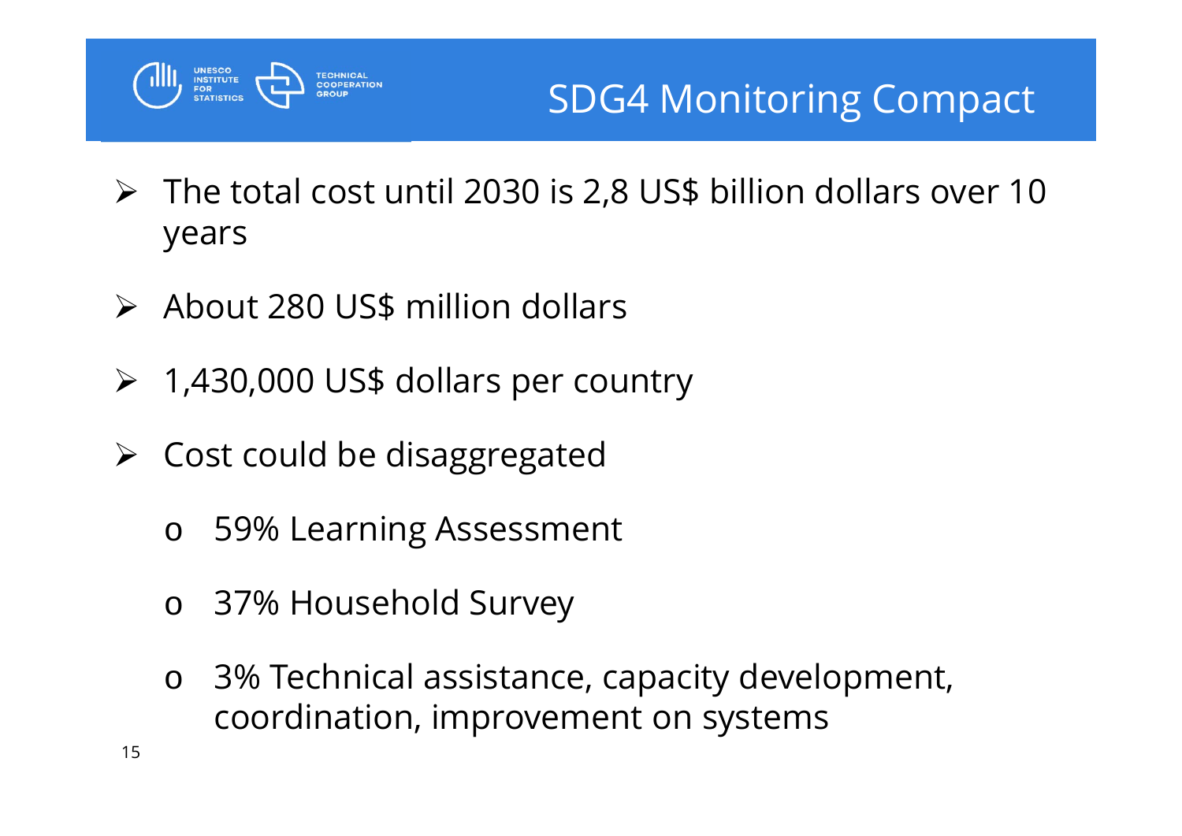

- $\triangleright$  The total cost until 2030 is 2,8 US\$ billion dollars over 10 years
- About 280 US\$ million dollars
- 1,430,000 US\$ dollars per country
- Cost could be disaggregated
	- o59% Learning Assessment
	- o37% Household Survey
	- o 3% Technical assistance, capacity development, coordination, improvement on systems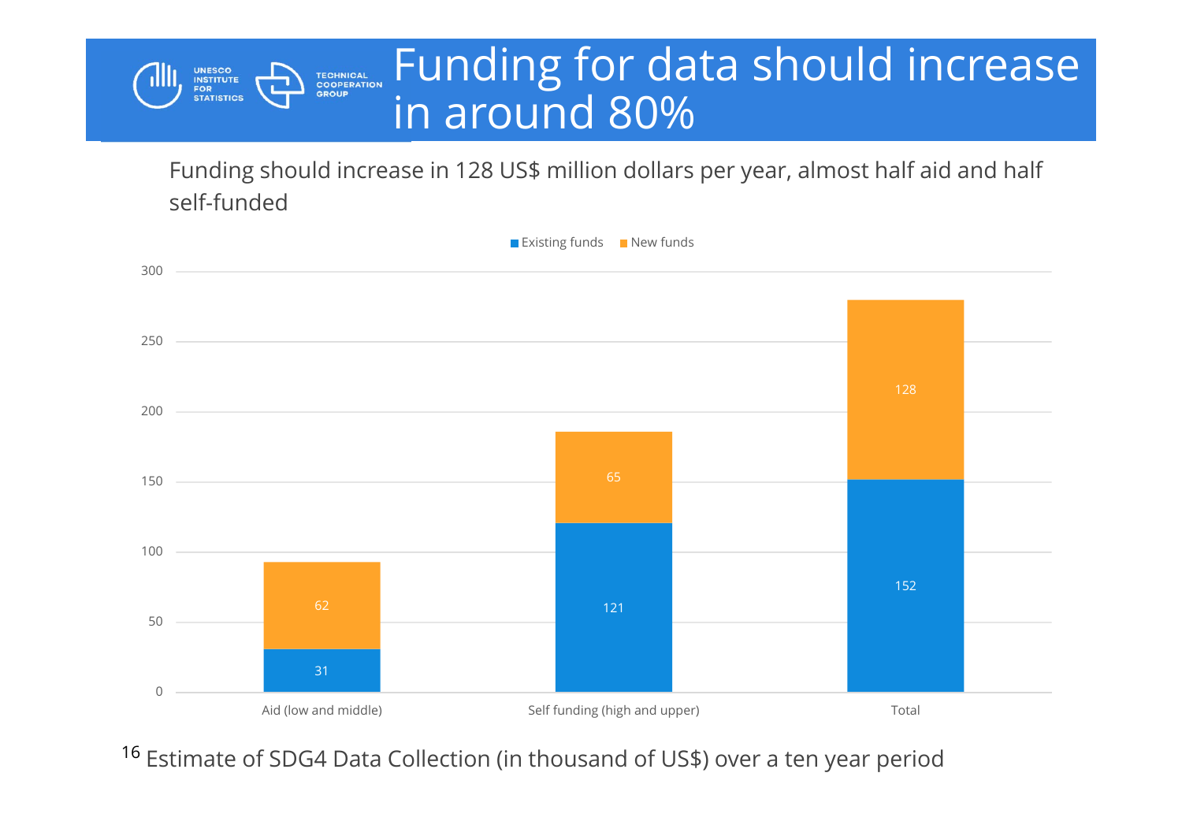#### Funding for data should increase **TECHNICAL<br>COOPERATION<br>GROUP** in around 80%

Funding should increase in 128 US\$ million dollars per year, almost half aid and half self-funded

**UNESCO<br>INSTITUTE<br>FOR<br>STATISTICS** 



<sup>16</sup> Estimate of SDG4 Data Collection (in thousand of US\$) over a ten year period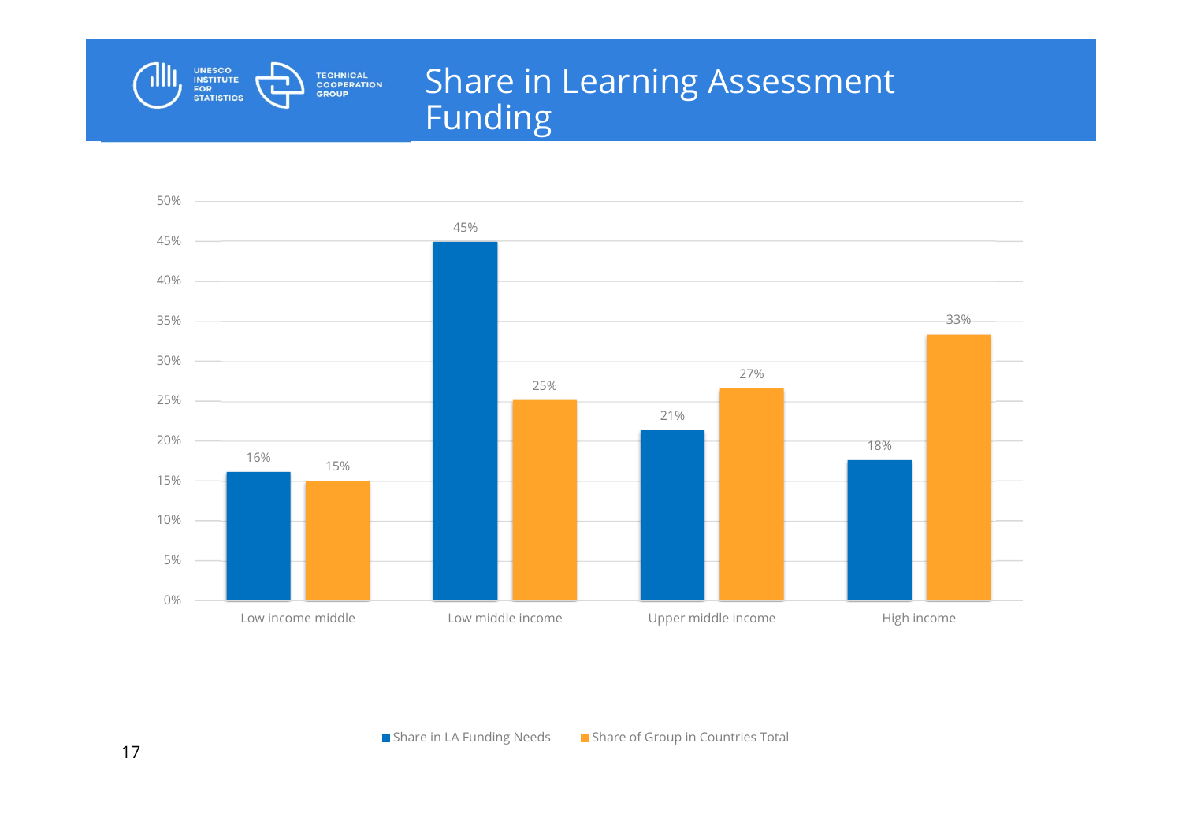

#### Share in Learning Assessment Funding

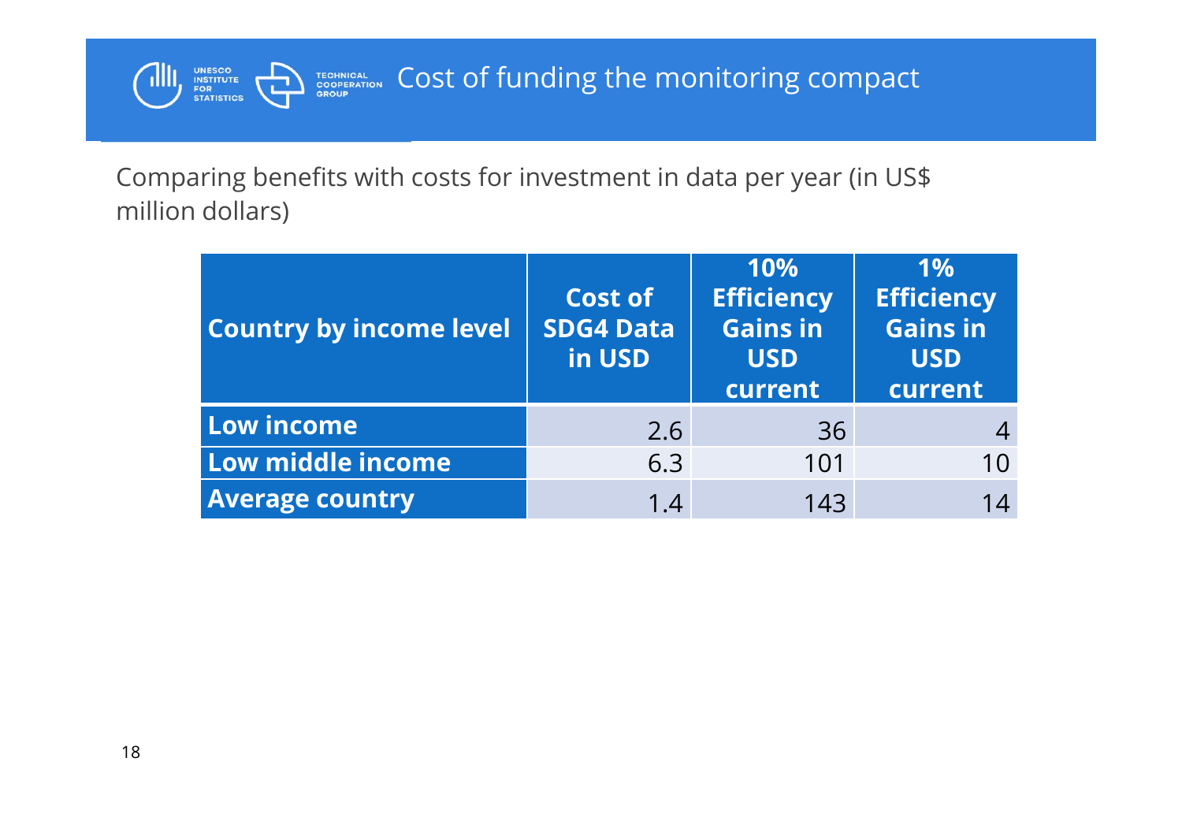

Comparing benefits with costs for investment in data per year (in US\$ million dollars)

| <b>Country by income level</b> | Cost of<br><b>SDG4 Data</b><br>in USD | 10%<br><b>Efficiency</b><br><b>Gains in</b><br><b>USD</b><br>current | 1%<br><b>Efficiency</b><br><b>Gains in</b><br><b>USD</b><br>current |
|--------------------------------|---------------------------------------|----------------------------------------------------------------------|---------------------------------------------------------------------|
| Low income                     | 2.6                                   | 36                                                                   |                                                                     |
| Low middle income              | 6.3                                   | 101                                                                  | 10                                                                  |
| <b>Average country</b>         | 1.4                                   | 143                                                                  | 14                                                                  |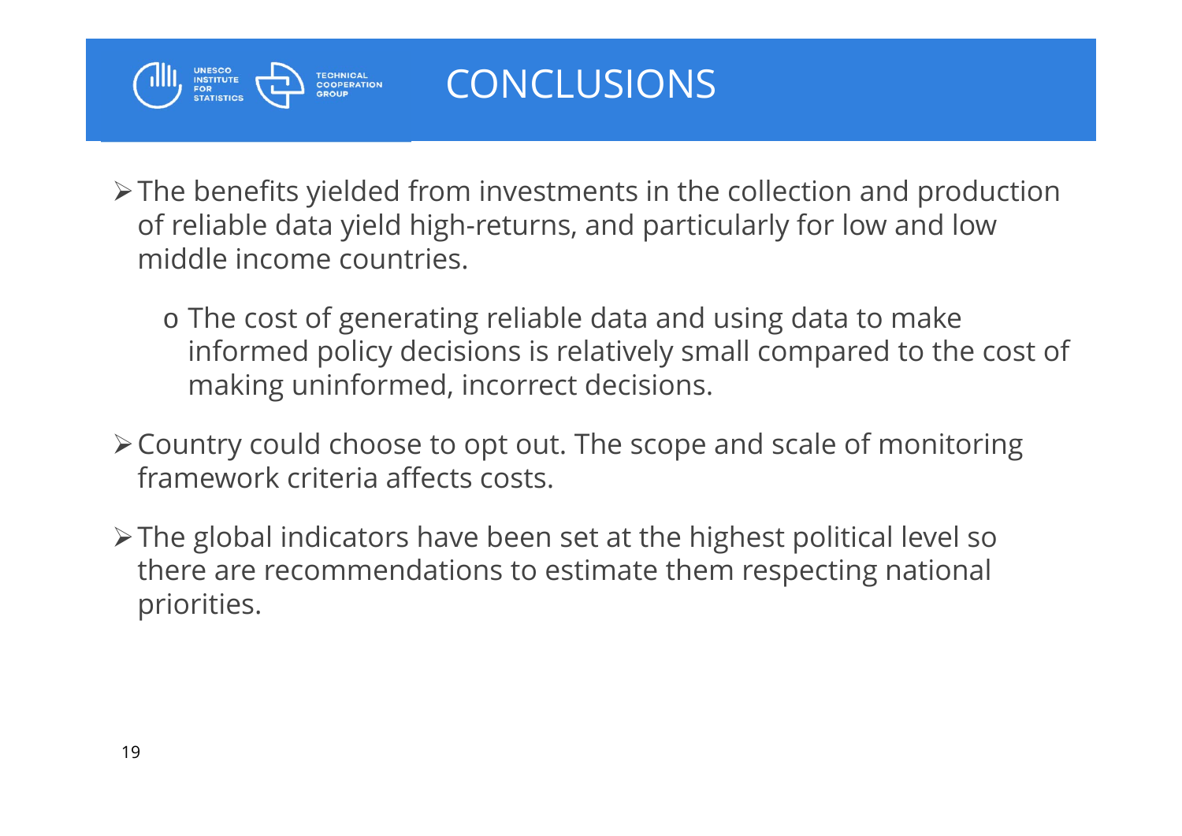

#### CONCLUSIONS

- $\triangleright$  The benefits yielded from investments in the collection and production of reliable data yield high-returns, and particularly for low and low middle income countries.
	- o The cost of generating reliable data and using data to make informed policy decisions is relatively small compared to the cost of making uninformed, incorrect decisions.
- Country could choose to opt out. The scope and scale of monitoring framework criteria affects costs.
- $\triangleright$  The global indicators have been set at the highest political level so there are recommendations to estimate them respecting national priorities.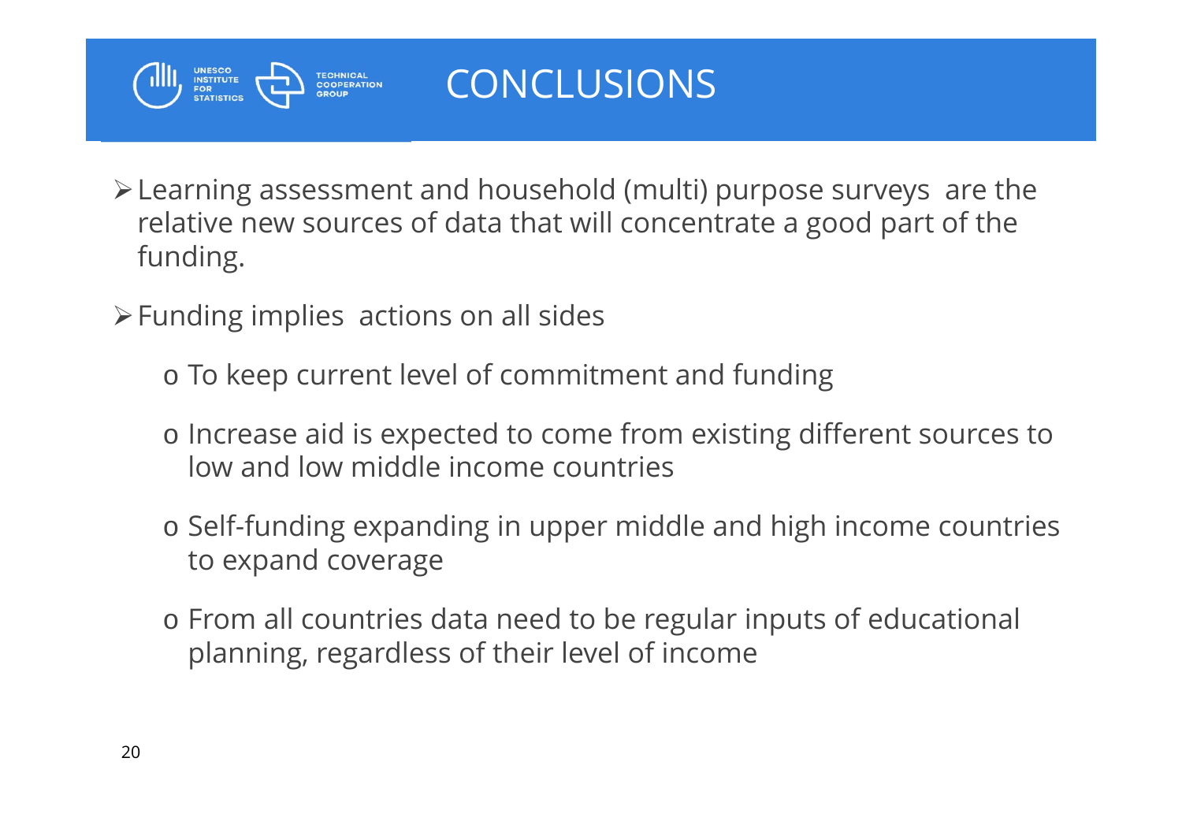

#### CONCLUSIONS

- Learning assessment and household (multi) purpose surveys are the relative new sources of data that will concentrate a good part of the funding.
- $\triangleright$  Funding implies actions on all sides
	- o To keep current level of commitment and funding
	- o Increase aid is expected to come from existing different sources to low and low middle income countries
	- o Self-funding expanding in upper middle and high income countries to expand coverage
	- o From all countries data need to be regular inputs of educational planning, regardless of their level of income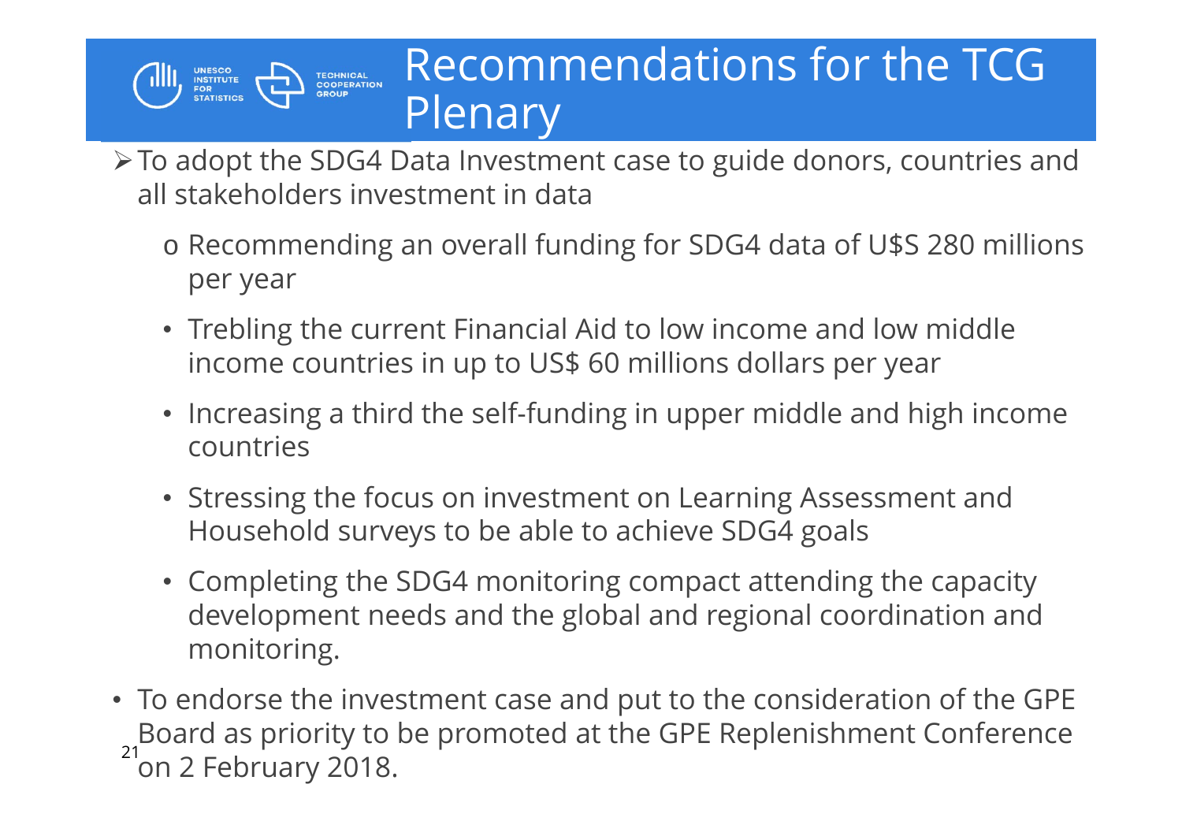## Recommendations for the TCG **Plenary**

To adopt the SDG4 Data Investment case to guide donors, countries and all stakeholders investment in data

**UNESCO<br>INSTITUTE<br>FOR<br>STATISTICS** 

- o Recommending an overall funding for SDG4 data of U\$S 280 millions per year
- Trebling the current Financial Aid to low income and low middle income countries in up to US\$ 60 millions dollars per year
- Increasing a third the self-funding in upper middle and high income countries
- Stressing the focus on investment on Learning Assessment and Household surveys to be able to achieve SDG4 goals
- Completing the SDG4 monitoring compact attending the capacity development needs and the global and regional coordination and monitoring.
- $21$ • To endorse the investment case and put to the consideration of the GPE Board as priority to be promoted at the GPE Replenishment Conference on 2 February 2018.